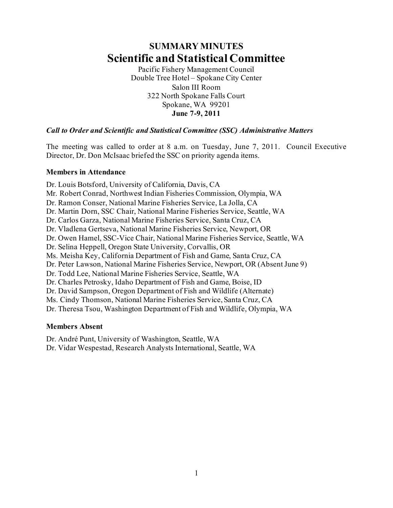# **SUMMARY MINUTES Scientific and Statistical Committee**

Pacific Fishery Management Council Double Tree Hotel – Spokane City Center Salon III Room 322 North Spokane Falls Court Spokane, WA 99201 **June 7-9, 2011**

# *Call to Order and Scientific and Statistical Committee (SSC) Administrative Matters*

The meeting was called to order at 8 a.m. on Tuesday, June 7, 2011. Council Executive Director, Dr. Don McIsaac briefed the SSC on priority agenda items.

#### **Members in Attendance**

Dr. Louis Botsford, University of California, Davis, CA Mr. Robert Conrad, Northwest Indian Fisheries Commission, Olympia, WA Dr. Ramon Conser, National Marine Fisheries Service, La Jolla, CA Dr. Martin Dorn, SSC Chair, National Marine Fisheries Service, Seattle, WA Dr. Carlos Garza, National Marine Fisheries Service, Santa Cruz, CA Dr. Vladlena Gertseva, National Marine Fisheries Service, Newport, OR Dr. Owen Hamel, SSC-Vice Chair, National Marine Fisheries Service, Seattle, WA Dr. Selina Heppell, Oregon State University, Corvallis, OR Ms. Meisha Key, California Department of Fish and Game, Santa Cruz, CA Dr. Peter Lawson, National Marine Fisheries Service, Newport, OR (Absent June 9) Dr. Todd Lee, National Marine Fisheries Service, Seattle, WA Dr. Charles Petrosky, Idaho Department of Fish and Game, Boise, ID Dr. David Sampson, Oregon Department of Fish and Wildlife (Alternate) Ms. Cindy Thomson, National Marine Fisheries Service, Santa Cruz, CA Dr. Theresa Tsou, Washington Department of Fish and Wildlife, Olympia, WA

# **Members Absent**

Dr. André Punt, University of Washington, Seattle, WA Dr. Vidar Wespestad, Research Analysts International, Seattle, WA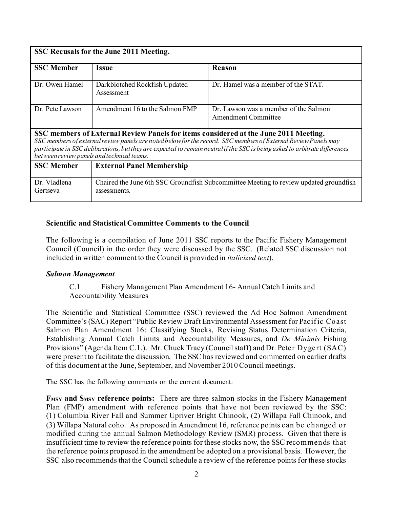| SSC Recusals for the June 2011 Meeting.                                                                                                                                                                                                                                                                                                                                               |                                                                                                       |                                                              |  |  |
|---------------------------------------------------------------------------------------------------------------------------------------------------------------------------------------------------------------------------------------------------------------------------------------------------------------------------------------------------------------------------------------|-------------------------------------------------------------------------------------------------------|--------------------------------------------------------------|--|--|
| <b>SSC Member</b>                                                                                                                                                                                                                                                                                                                                                                     | Issue                                                                                                 | Reason                                                       |  |  |
| Dr. Owen Hamel                                                                                                                                                                                                                                                                                                                                                                        | Darkblotched Rockfish Updated<br>Assessment                                                           | Dr. Hamel was a member of the STAT.                          |  |  |
| Dr. Pete Lawson                                                                                                                                                                                                                                                                                                                                                                       | Amendment 16 to the Salmon FMP                                                                        | Dr. Lawson was a member of the Salmon<br>Amendment Committee |  |  |
| SSC members of External Review Panels for items considered at the June 2011 Meeting.<br>SSC members of external review panels are noted below for the record. SSC members of External Review Panels may<br>participate in SSC deliberations, but they are expected to remain neutral if the SSC is being asked to arbitrate differences<br>between review panels and technical teams. |                                                                                                       |                                                              |  |  |
| <b>SSC Member</b>                                                                                                                                                                                                                                                                                                                                                                     | <b>External Panel Membership</b>                                                                      |                                                              |  |  |
| Dr. Vladlena<br>Gertseva                                                                                                                                                                                                                                                                                                                                                              | Chaired the June 6th SSC Groundfish Subcommittee Meeting to review updated groundfish<br>assessments. |                                                              |  |  |

#### **Scientific and Statistical Committee Comments to the Council**

The following is a compilation of June 2011 SSC reports to the Pacific Fishery Management Council (Council) in the order they were discussed by the SSC. (Related SSC discussion not included in written comment to the Council is provided in *italicized text*).

#### *Salmon Management*

#### C.1 Fishery Management Plan Amendment 16- Annual Catch Limits and Accountability Measures

The Scientific and Statistical Committee (SSC) reviewed the Ad Hoc Salmon Amendment Committee's (SAC) Report "Public Review Draft Environmental Assessment for Pacif ic Coast Salmon Plan Amendment 16: Classifying Stocks, Revising Status Determination Criteria, Establishing Annual Catch Limits and Accountability Measures, and *De Minimis* Fishing Provisions" (Agenda Item C.1.). Mr. Chuck Tracy (Council staff) and Dr. Peter Dygert (SAC) were present to facilitate the discussion. The SSC has reviewed and commented on earlier drafts of this document at the June, September, and November 2010 Council meetings.

The SSC has the following comments on the current document:

**FMSY and SMSY reference points:** There are three salmon stocks in the Fishery Management Plan (FMP) amendment with reference points that have not been reviewed by the SSC: (1) Columbia River Fall and Summer Upriver Bright Chinook, (2) Willapa Fall Chinook, and (3) Willapa Natural coho. As proposed in Amendment 16, reference points can be changed or modified during the annual Salmon Methodology Review (SMR) process. Given that there is insufficient time to review the reference points for these stocks now, the SSC recommends that the reference points proposed in the amendment be adopted on a provisional basis. However, the SSC also recommends that the Council schedule a review of the reference points for these stocks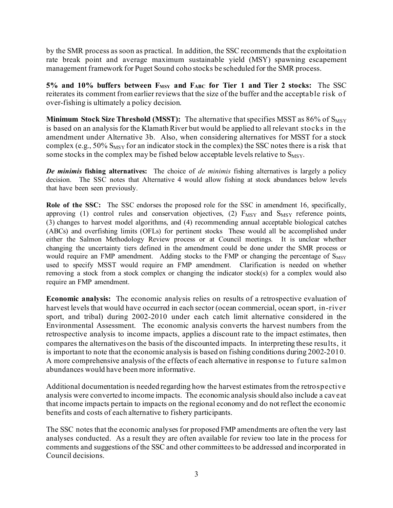by the SMR process as soon as practical. In addition, the SSC recommends that the exploitation rate break point and average maximum sustainable yield (MSY) spawning escapement management framework for Puget Sound coho stocks be scheduled for the SMR process.

5% and 10% buffers between  $F_{MSY}$  and  $F_{ABC}$  for Tier 1 and Tier 2 stocks: The SSC reiterates its comment from earlier reviews that the size of the buffer and the acceptable risk of over-fishing is ultimately a policy decision.

**Minimum Stock Size Threshold (MSST):** The alternative that specifies MSST as 86% of S<sub>MSY</sub> is based on an analysis for the Klamath River but would be applied to all relevant stocks in the amendment under Alternative 3b. Also, when considering alternatives for MSST for a stock complex (e.g.,  $50\%$  S<sub>MSY</sub> for an indicator stock in the complex) the SSC notes there is a risk that some stocks in the complex may be fished below acceptable levels relative to  $S_{MSY}$ .

*De minimis* **fishing alternatives:** The choice of *de minimis* fishing alternatives is largely a policy decision. The SSC notes that Alternative 4 would allow fishing at stock abundances below levels that have been seen previously.

**Role of the SSC:** The SSC endorses the proposed role for the SSC in amendment 16, specifically, approving (1) control rules and conservation objectives, (2)  $F_{MSY}$  and  $S_{MSY}$  reference points, (3) changes to harvest model algorithms, and (4) recommending annual acceptable biological catches (ABCs) and overfishing limits (OFLs) for pertinent stocks These would all be accomplished under either the Salmon Methodology Review process or at Council meetings. It is unclear whether changing the uncertainty tiers defined in the amendment could be done under the SMR process or would require an FMP amendment. Adding stocks to the FMP or changing the percentage of S<sub>MSY</sub> used to specify MSST would require an FMP amendment. Clarification is needed on whether removing a stock from a stock complex or changing the indicator stock(s) for a complex would also require an FMP amendment.

**Economic analysis:** The economic analysis relies on results of a retrospective evaluation of harvest levels that would have occurred in each sector (ocean commercial, ocean sport, in-river sport, and tribal) during 2002-2010 under each catch limit alternative considered in the Environmental Assessment. The economic analysis converts the harvest numbers from the retrospective analysis to income impacts, applies a discount rate to the impact estimates, then compares the alternatives on the basis of the discounted impacts. In interpreting these results, it is important to note that the economic analysis is based on fishing conditions during 2002-2010. A more comprehensive analysis of the effects of each alternative in response to future salmon abundances would have been more informative.

Additional documentation is needed regarding how the harvest estimates from the retrospective analysis were converted to income impacts. The economic analysis should also include a caveat that income impacts pertain to impacts on the regional economy and do not reflect the economic benefits and costs of each alternative to fishery participants.

The SSC notes that the economic analyses for proposed FMP amendments are often the very last analyses conducted. As a result they are often available for review too late in the process for comments and suggestions of the SSC and other committees to be addressed and incorporated in Council decisions.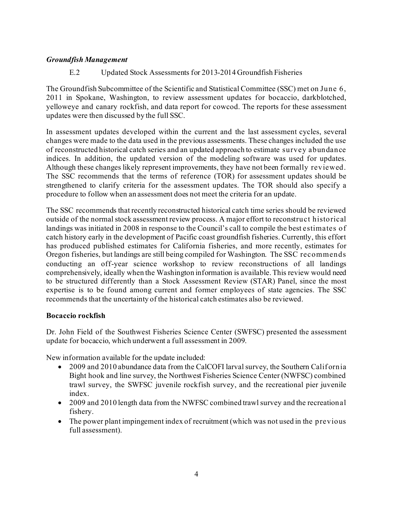#### *Groundfish Management*

#### E.2 Updated Stock Assessments for 2013-2014 Groundfish Fisheries

The Groundfish Subcommittee of the Scientific and Statistical Committee (SSC) met on June 6, 2011 in Spokane, Washington, to review assessment updates for bocaccio, darkblotched, yelloweye and canary rockfish, and data report for cowcod. The reports for these assessment updates were then discussed by the full SSC.

In assessment updates developed within the current and the last assessment cycles, several changes were made to the data used in the previous assessments. These changes included the use of reconstructed historical catch series and an updated approach to estimate survey abundance indices. In addition, the updated version of the modeling software was used for updates. Although these changes likely represent improvements, they have not been formally reviewed. The SSC recommends that the terms of reference (TOR) for assessment updates should be strengthened to clarify criteria for the assessment updates. The TOR should also specify a procedure to follow when an assessment does not meet the criteria for an update.

The SSC recommends that recently reconstructed historical catch time series should be reviewed outside of the normal stock assessment review process. A major effort to reconstruct historical landings was initiated in 2008 in response to the Council's call to compile the best estimates of catch history early in the development of Pacific coast groundfish fisheries. Currently, this effort has produced published estimates for California fisheries, and more recently, estimates for Oregon fisheries, but landings are still being compiled for Washington. The SSC recommends conducting an off-year science workshop to review reconstructions of all landings comprehensively, ideally when the Washington information is available. This review would need to be structured differently than a Stock Assessment Review (STAR) Panel, since the most expertise is to be found among current and former employees of state agencies. The SSC recommends that the uncertainty of the historical catch estimates also be reviewed.

#### **Bocaccio rockfish**

Dr. John Field of the Southwest Fisheries Science Center (SWFSC) presented the assessment update for bocaccio, which underwent a full assessment in 2009.

New information available for the update included:

- 2009 and 2010 abundance data from the CalCOFI larval survey, the Southern California Bight hook and line survey, the Northwest Fisheries Science Center (NWFSC) combined trawl survey, the SWFSC juvenile rockfish survey, and the recreational pier juvenile index.
- 2009 and 2010 length data from the NWFSC combined trawl survey and the recreational fishery.
- The power plant impingement index of recruitment (which was not used in the previous full assessment).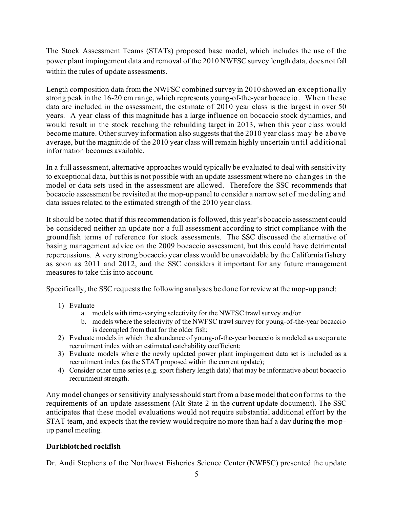The Stock Assessment Teams (STATs) proposed base model, which includes the use of the power plant impingement data and removal of the 2010 NWFSC survey length data, does not fall within the rules of update assessments.

Length composition data from the NWFSC combined survey in 2010 showed an exceptionally strong peak in the 16-20 cm range, which represents young-of-the-year bocaccio. When these data are included in the assessment, the estimate of 2010 year class is the largest in over 50 years. A year class of this magnitude has a large influence on bocaccio stock dynamics, and would result in the stock reaching the rebuilding target in 2013, when this year class would become mature. Other survey information also suggests that the 2010 year class may be above average, but the magnitude of the 2010 year class will remain highly uncertain until additional information becomes available.

In a full assessment, alternative approaches would typically be evaluated to deal with sensitivity to exceptional data, but this is not possible with an update assessment where no changes in the model or data sets used in the assessment are allowed. Therefore the SSC recommends that bocaccio assessment be revisited at the mop-up panel to consider a narrow set of modeling and data issues related to the estimated strength of the 2010 year class.

It should be noted that if this recommendation is followed, this year's bocaccio assessment could be considered neither an update nor a full assessment according to strict compliance with the groundfish terms of reference for stock assessments. The SSC discussed the alternative of basing management advice on the 2009 bocaccio assessment, but this could have detrimental repercussions. A very strong bocaccio year class would be unavoidable by the California fishery as soon as 2011 and 2012, and the SSC considers it important for any future management measures to take this into account.

Specifically, the SSC requests the following analyses be done for review at the mop-up panel:

- 1) Evaluate
	- a. models with time-varying selectivity for the NWFSC trawl survey and/or
	- b. models where the selectivity of the NWFSC trawl survey for young-of-the-year bocaccio is decoupled from that for the older fish;
- 2) Evaluate models in which the abundance of young-of-the-year bocaccio is modeled as a separate recruitment index with an estimated catchability coefficient;
- 3) Evaluate models where the newly updated power plant impingement data set is included as a recruitment index (as the STAT proposed within the current update);
- 4) Consider other time series (e.g. sport fishery length data) that may be informative about bocaccio recruitment strength.

Any model changes or sensitivity analyses should start from a base model that conforms to the requirements of an update assessment (Alt State 2 in the current update document). The SSC anticipates that these model evaluations would not require substantial additional effort by the STAT team, and expects that the review would require no more than half a day during the mopup panel meeting.

# **Darkblotched rockfish**

Dr. Andi Stephens of the Northwest Fisheries Science Center (NWFSC) presented the update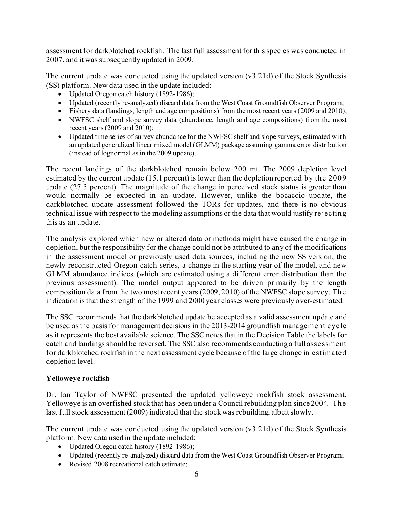assessment for darkblotched rockfish. The last full assessment for this species was conducted in 2007, and it was subsequently updated in 2009.

The current update was conducted using the updated version (v3.21d) of the Stock Synthesis (SS) platform. New data used in the update included:

- Updated Oregon catch history (1892-1986);
- Updated (recently re-analyzed) discard data from the West Coast Groundfish Observer Program;
- Fishery data (landings, length and age compositions) from the most recent years (2009 and 2010);
- NWFSC shelf and slope survey data (abundance, length and age compositions) from the most recent years (2009 and 2010);
- Updated time series of survey abundance for the NWFSC shelf and slope surveys, estimated with an updated generalized linear mixed model (GLMM) package assuming gamma error distribution (instead of lognormal as in the 2009 update).

The recent landings of the darkblotched remain below 200 mt. The 2009 depletion level estimated by the current update (15.1 percent) is lower than the depletion reported by the 2009 update (27.5 percent). The magnitude of the change in perceived stock status is greater than would normally be expected in an update. However, unlike the bocaccio update, the darkblotched update assessment followed the TORs for updates, and there is no obvious technical issue with respect to the modeling assumptions or the data that would justify rejecting this as an update.

The analysis explored which new or altered data or methods might have caused the change in depletion, but the responsibility for the change could not be attributed to any of the modifications in the assessment model or previously used data sources, including the new SS version, the newly reconstructed Oregon catch series, a change in the starting year of the model, and new GLMM abundance indices (which are estimated using a different error distribution than the previous assessment). The model output appeared to be driven primarily by the length composition data from the two most recent years (2009, 2010) of the NWFSC slope survey. The indication is that the strength of the 1999 and 2000 year classes were previously over-estimated.

The SSC recommends that the darkblotched update be accepted as a valid assessment update and be used as the basis for management decisions in the 2013-2014 groundfish management cycle as it represents the best available science. The SSC notes that in the Decision Table the labels for catch and landings should be reversed. The SSC also recommends conducting a full assessment for darkblotched rockfish in the next assessment cycle because of the large change in estimated depletion level.

# **Yelloweye rockfish**

Dr. Ian Taylor of NWFSC presented the updated yelloweye rockfish stock assessment. Yelloweye is an overfished stock that has been under a Council rebuilding plan since 2004. The last full stock assessment (2009) indicated that the stock was rebuilding, albeit slowly.

The current update was conducted using the updated version (v3.21d) of the Stock Synthesis platform. New data used in the update included:

- Updated Oregon catch history (1892-1986);
- Updated (recently re-analyzed) discard data from the West Coast Groundfish Observer Program;
- Revised 2008 recreational catch estimate;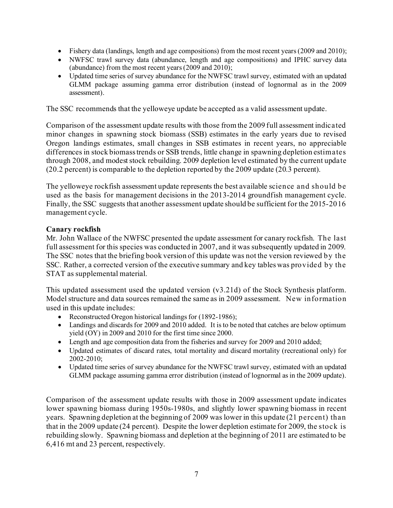- Fishery data (landings, length and age compositions) from the most recent years (2009 and 2010);
- NWFSC trawl survey data (abundance, length and age compositions) and IPHC survey data (abundance) from the most recent years  $(2009 \text{ and } 2010)$ ;
- Updated time series of survey abundance for the NWFSC trawl survey, estimated with an updated GLMM package assuming gamma error distribution (instead of lognormal as in the 2009 assessment).

The SSC recommends that the yelloweye update be accepted as a valid assessment update.

Comparison of the assessment update results with those from the 2009 full assessment indicated minor changes in spawning stock biomass (SSB) estimates in the early years due to revised Oregon landings estimates, small changes in SSB estimates in recent years, no appreciable differences in stock biomass trends or SSB trends, little change in spawning depletion estimates through 2008, and modest stock rebuilding. 2009 depletion level estimated by the current update (20.2 percent) is comparable to the depletion reported by the 2009 update (20.3 percent).

The yelloweye rockfish assessment update represents the best available science and should be used as the basis for management decisions in the 2013-2014 groundfish management cycle. Finally, the SSC suggests that another assessment update should be sufficient for the 2015-2016 management cycle.

#### **Canary rockfish**

Mr. John Wallace of the NWFSC presented the update assessment for canary rockfish. The last full assessment for this species was conducted in 2007, and it was subsequently updated in 2009. The SSC notes that the briefing book version of this update was not the version reviewed by the SSC. Rather, a corrected version of the executive summary and key tables was provided by the STAT as supplemental material.

This updated assessment used the updated version (v3.21d) of the Stock Synthesis platform. Model structure and data sources remained the same as in 2009 assessment. New information used in this update includes:

- Reconstructed Oregon historical landings for (1892-1986);
- Landings and discards for 2009 and 2010 added. It is to be noted that catches are below optimum yield (OY) in 2009 and 2010 for the first time since 2000.
- Length and age composition data from the fisheries and survey for 2009 and 2010 added;
- Updated estimates of discard rates, total mortality and discard mortality (recreational only) for 2002-2010;
- Updated time series of survey abundance for the NWFSC trawl survey, estimated with an updated GLMM package assuming gamma error distribution (instead of lognormal as in the 2009 update).

Comparison of the assessment update results with those in 2009 assessment update indicates lower spawning biomass during 1950s-1980s, and slightly lower spawning biomass in recent years. Spawning depletion at the beginning of 2009 was lower in this update (21 percent) than that in the 2009 update (24 percent). Despite the lower depletion estimate for 2009, the stock is rebuilding slowly. Spawning biomass and depletion at the beginning of 2011 are estimated to be 6,416 mt and 23 percent, respectively.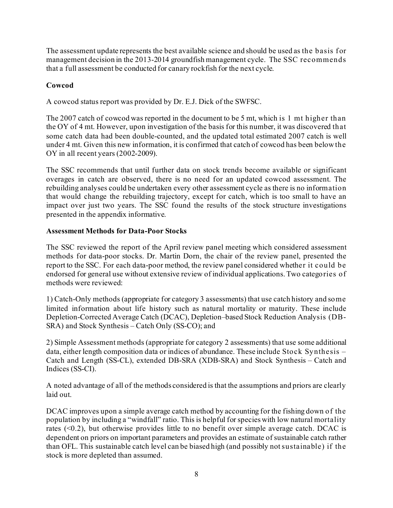The assessment update represents the best available science and should be used as the basis f or management decision in the 2013-2014 groundfish management cycle. The SSC recommends that a full assessment be conducted for canary rockfish for the next cycle.

# **Cowcod**

A cowcod status report was provided by Dr. E.J. Dick of the SWFSC.

The 2007 catch of cowcod was reported in the document to be 5 mt, which is 1 mt higher than the OY of 4 mt. However, upon investigation of the basis for this number, it was discovered that some catch data had been double-counted, and the updated total estimated 2007 catch is well under 4 mt. Given this new information, it is confirmed that catch of cowcod has been below the OY in all recent years (2002-2009).

The SSC recommends that until further data on stock trends become available or significant overages in catch are observed, there is no need for an updated cowcod assessment. The rebuilding analyses could be undertaken every other assessment cycle as there is no information that would change the rebuilding trajectory, except for catch, which is too small to have an impact over just two years. The SSC found the results of the stock structure investigations presented in the appendix informative.

# **Assessment Methods for Data-Poor Stocks**

The SSC reviewed the report of the April review panel meeting which considered assessment methods for data-poor stocks. Dr. Martin Dorn, the chair of the review panel, presented the report to the SSC. For each data-poor method, the review panel considered whether it could be endorsed for general use without extensive review of individual applications. Two categories of methods were reviewed:

1) Catch-Only methods (appropriate for category 3 assessments) that use catch history and some limited information about life history such as natural mortality or maturity. These include Depletion-Corrected Average Catch (DCAC), Depletion–based Stock Reduction Analysis (DB-SRA) and Stock Synthesis – Catch Only (SS-CO); and

2) Simple Assessment methods (appropriate for category 2 assessments) that use some additional data, either length composition data or indices of abundance. These include Stock Synthesis – Catch and Length (SS-CL), extended DB-SRA (XDB-SRA) and Stock Synthesis – Catch and Indices (SS-CI).

A noted advantage of all of the methods considered is that the assumptions and priors are clearly laid out.

DCAC improves upon a simple average catch method by accounting for the fishing down of the population by including a "windfall" ratio. This is helpful for species with low natural mortality rates (<0.2), but otherwise provides little to no benefit over simple average catch. DCAC is dependent on priors on important parameters and provides an estimate of sustainable catch rather than OFL. This sustainable catch level can be biased high (and possibly not sustainable) if the stock is more depleted than assumed.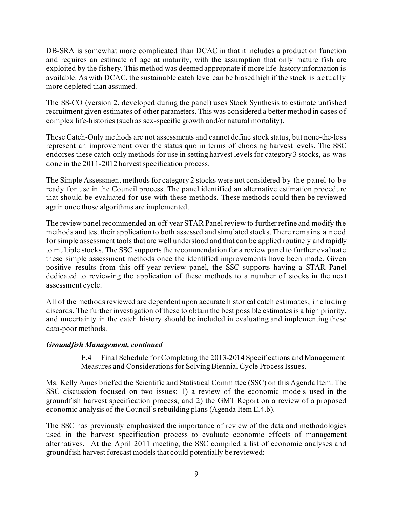DB-SRA is somewhat more complicated than DCAC in that it includes a production function and requires an estimate of age at maturity, with the assumption that only mature fish are exploited by the fishery. This method was deemed appropriate if more life-history information is available. As with DCAC, the sustainable catch level can be biased high if the stock is actually more depleted than assumed.

The SS-CO (version 2, developed during the panel) uses Stock Synthesis to estimate unfished recruitment given estimates of other parameters. This was considered a better method in cases of complex life-histories (such as sex-specific growth and/or natural mortality).

These Catch-Only methods are not assessments and cannot define stock status, but none-the-less represent an improvement over the status quo in terms of choosing harvest levels. The SSC endorses these catch-only methods for use in setting harvest levels for category 3 stocks, as was done in the 2011-2012 harvest specification process.

The Simple Assessment methods for category 2 stocks were not considered by the panel to be ready for use in the Council process. The panel identified an alternative estimation procedure that should be evaluated for use with these methods. These methods could then be reviewed again once those algorithms are implemented.

The review panel recommended an off-year STAR Panel review to further refine and modify the methods and test their application to both assessed and simulated stocks. There remains a need for simple assessment tools that are well understood and that can be applied routinely and rapidly to multiple stocks. The SSC supports the recommendation for a review panel to further evaluate these simple assessment methods once the identified improvements have been made. Given positive results from this off-year review panel, the SSC supports having a STAR Panel dedicated to reviewing the application of these methods to a number of stocks in the next assessment cycle.

All of the methods reviewed are dependent upon accurate historical catch estimates, including discards. The further investigation of these to obtain the best possible estimates is a high priority, and uncertainty in the catch history should be included in evaluating and implementing these data-poor methods.

# *Groundfish Management, continued*

E.4 Final Schedule for Completing the 2013-2014 Specifications and Management Measures and Considerations for Solving Biennial Cycle Process Issues.

Ms. Kelly Ames briefed the Scientific and Statistical Committee (SSC) on this Agenda Item. The SSC discussion focused on two issues: 1) a review of the economic models used in the groundfish harvest specification process, and 2) the GMT Report on a review of a proposed economic analysis of the Council's rebuilding plans (Agenda Item E.4.b).

The SSC has previously emphasized the importance of review of the data and methodologies used in the harvest specification process to evaluate economic effects of management alternatives. At the April 2011 meeting, the SSC compiled a list of economic analyses and groundfish harvest forecast models that could potentially be reviewed: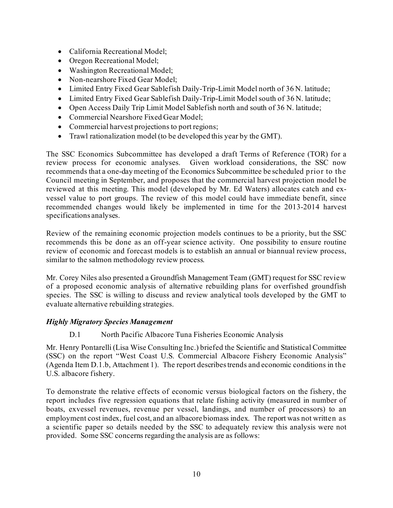- California Recreational Model;
- Oregon Recreational Model;
- Washington Recreational Model;
- Non-nearshore Fixed Gear Model;
- Limited Entry Fixed Gear Sablefish Daily-Trip-Limit Model north of 36 N. latitude;
- Limited Entry Fixed Gear Sablefish Daily-Trip-Limit Model south of 36 N. latitude;
- Open Access Daily Trip Limit Model Sablefish north and south of 36 N. latitude;
- Commercial Nearshore Fixed Gear Model;
- Commercial harvest projections to port regions;
- Trawl rationalization model (to be developed this year by the GMT).

The SSC Economics Subcommittee has developed a draft Terms of Reference (TOR) for a review process for economic analyses. Given workload considerations, the SSC now recommends that a one-day meeting of the Economics Subcommittee be scheduled prior to the Council meeting in September, and proposes that the commercial harvest projection model be reviewed at this meeting. This model (developed by Mr. Ed Waters) allocates catch and exvessel value to port groups. The review of this model could have immediate benefit, since recommended changes would likely be implemented in time for the 2013-2014 harvest specifications analyses.

Review of the remaining economic projection models continues to be a priority, but the SSC recommends this be done as an off-year science activity. One possibility to ensure routine review of economic and forecast models is to establish an annual or biannual review process, similar to the salmon methodology review process.

Mr. Corey Niles also presented a Groundfish Management Team (GMT) request for SSC review of a proposed economic analysis of alternative rebuilding plans for overfished groundfish species. The SSC is willing to discuss and review analytical tools developed by the GMT to evaluate alternative rebuilding strategies.

# *Highly Migratory Species Management*

D.1 North Pacific Albacore Tuna Fisheries Economic Analysis

Mr. Henry Pontarelli (Lisa Wise Consulting Inc.) briefed the Scientific and Statistical Committee (SSC) on the report "West Coast U.S. Commercial Albacore Fishery Economic Analysis" (Agenda Item D.1.b, Attachment 1). The report describes trends and economic conditions in the U.S. albacore fishery.

To demonstrate the relative effects of economic versus biological factors on the fishery, the report includes five regression equations that relate fishing activity (measured in number of boats, exvessel revenues, revenue per vessel, landings, and number of processors) to an employment cost index, fuel cost, and an albacore biomass index. The report was not written as a scientific paper so details needed by the SSC to adequately review this analysis were not provided. Some SSC concerns regarding the analysis are as follows: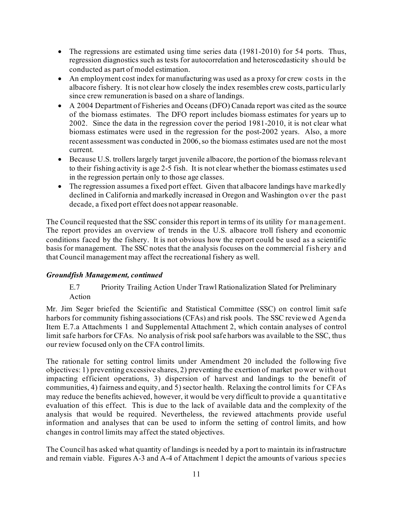- The regressions are estimated using time series data (1981-2010) for 54 ports. Thus, regression diagnostics such as tests for autocorrelation and heteroscedasticity should be conducted as part of model estimation.
- An employment cost index for manufacturing was used as a proxy for crew costs in the albacore fishery. It is not clear how closely the index resembles crew costs, particularly since crew remuneration is based on a share of landings.
- A 2004 Department of Fisheries and Oceans (DFO) Canada report was cited as the source of the biomass estimates. The DFO report includes biomass estimates for years up to 2002. Since the data in the regression cover the period 1981-2010, it is not clear what biomass estimates were used in the regression for the post-2002 years. Also, a more recent assessment was conducted in 2006, so the biomass estimates used are not the most current.
- Because U.S. trollers largely target juvenile albacore, the portion of the biomass relevant to their fishing activity is age 2-5 fish. It is not clear whether the biomass estimates used in the regression pertain only to those age classes.
- The regression assumes a fixed port effect. Given that albacore landings have markedly declined in California and markedly increased in Oregon and Washington over the past decade, a fixed port effect does not appear reasonable.

The Council requested that the SSC consider this report in terms of its utility for management. The report provides an overview of trends in the U.S. albacore troll fishery and economic conditions faced by the fishery. It is not obvious how the report could be used as a scientific basis for management. The SSC notes that the analysis focuses on the commercial fishery and that Council management may affect the recreational fishery as well.

# *Groundfish Management, continued*

# E.7 Priority Trailing Action Under Trawl Rationalization Slated for Preliminary Action

Mr. Jim Seger briefed the Scientific and Statistical Committee (SSC) on control limit safe harbors for community fishing associations (CFAs) and risk pools. The SSC reviewed Agenda Item E.7.a Attachments 1 and Supplemental Attachment 2, which contain analyses of control limit safe harbors for CFAs. No analysis of risk pool safe harbors was available to the SSC, thus our review focused only on the CFA control limits.

The rationale for setting control limits under Amendment 20 included the following five objectives: 1) preventing excessive shares, 2) preventing the exertion of market power without impacting efficient operations, 3) dispersion of harvest and landings to the benefit of communities, 4) fairness and equity, and 5) sector health. Relaxing the control limits for CFAs may reduce the benefits achieved, however, it would be very difficult to provide a quantitative evaluation of this effect. This is due to the lack of available data and the complexity of the analysis that would be required. Nevertheless, the reviewed attachments provide useful information and analyses that can be used to inform the setting of control limits, and how changes in control limits may affect the stated objectives.

The Council has asked what quantity of landings is needed by a port to maintain its infrastructure and remain viable. Figures A-3 and A-4 of Attachment 1 depict the amounts of various species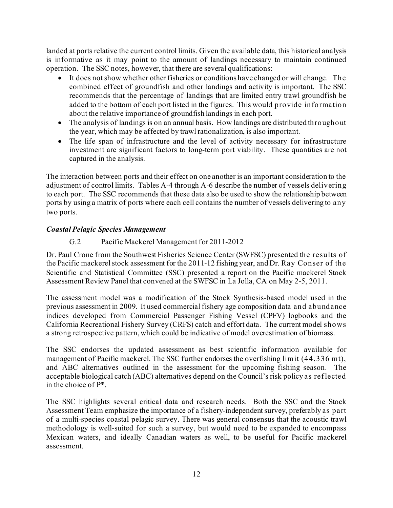landed at ports relative the current control limits. Given the available data, this historical analysis is informative as it may point to the amount of landings necessary to maintain continued operation. The SSC notes, however, that there are several qualifications:

- It does not show whether other fisheries or conditions have changed or will change. The combined effect of groundfish and other landings and activity is important. The SSC recommends that the percentage of landings that are limited entry trawl groundfish be added to the bottom of each port listed in the figures. This would provide information about the relative importance of groundfish landings in each port.
- The analysis of landings is on an annual basis. How landings are distributed throughout the year, which may be affected by trawl rationalization, is also important.
- The life span of infrastructure and the level of activity necessary for infrastructure investment are significant factors to long-term port viability. These quantities are not captured in the analysis.

The interaction between ports and their effect on one another is an important consideration to the adjustment of control limits. Tables A-4 through A-6 describe the number of vessels delivering to each port. The SSC recommends that these data also be used to show the relationship between ports by using a matrix of ports where each cell contains the number of vessels delivering to any two ports.

# *Coastal Pelagic Species Management*

# G.2 Pacific Mackerel Management for 2011-2012

Dr. Paul Crone from the Southwest Fisheries Science Center (SWFSC) presented the results of the Pacific mackerel stock assessment for the 2011-12 fishing year, and Dr. Ray Conser of the Scientific and Statistical Committee (SSC) presented a report on the Pacific mackerel Stock Assessment Review Panel that convened at the SWFSC in La Jolla, CA on May 2-5, 2011.

The assessment model was a modification of the Stock Synthesis-based model used in the previous assessment in 2009. It used commercial fishery age composition data and abundance indices developed from Commercial Passenger Fishing Vessel (CPFV) logbooks and the California Recreational Fishery Survey (CRFS) catch and effort data. The current model shows a strong retrospective pattern, which could be indicative of model overestimation of biomass.

The SSC endorses the updated assessment as best scientific information available for management of Pacific mackerel. The SSC further endorses the overfishing limit (44,336 mt), and ABC alternatives outlined in the assessment for the upcoming fishing season. The acceptable biological catch (ABC) alternatives depend on the Council's risk policy as ref lected in the choice of P\*.

The SSC highlights several critical data and research needs. Both the SSC and the Stock Assessment Team emphasize the importance of a fishery-independent survey, preferably as part of a multi-species coastal pelagic survey. There was general consensus that the acoustic trawl methodology is well-suited for such a survey, but would need to be expanded to encompass Mexican waters, and ideally Canadian waters as well, to be useful for Pacific mackerel assessment.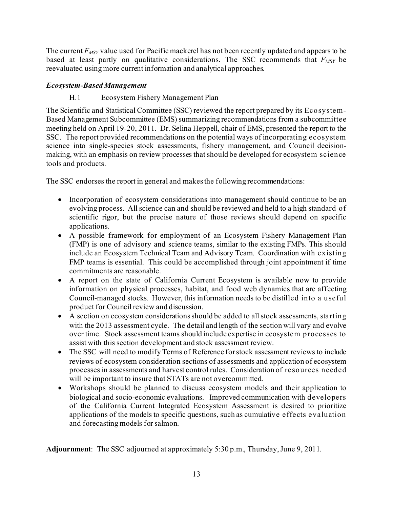The current  $F_{MSY}$  value used for Pacific mackerel has not been recently updated and appears to be based at least partly on qualitative considerations. The SSC recommends that  $F_{MSY}$  be reevaluated using more current information and analytical approaches.

# *Ecosystem-Based Management*

# H.1 Ecosystem Fishery Management Plan

The Scientific and Statistical Committee (SSC) reviewed the report prepared by its Ecosystem-Based Management Subcommittee (EMS) summarizing recommendations from a subcommittee meeting held on April 19-20, 2011. Dr. Selina Heppell, chair of EMS, presented the report to the SSC. The report provided recommendations on the potential ways of incorporating ecosystem science into single-species stock assessments, fishery management, and Council decisionmaking, with an emphasis on review processes that should be developed for ecosystem science tools and products.

The SSC endorses the report in general and makes the following recommendations:

- Incorporation of ecosystem considerations into management should continue to be an evolving process. All science can and should be reviewed and held to a high standard of scientific rigor, but the precise nature of those reviews should depend on specific applications.
- A possible framework for employment of an Ecosystem Fishery Management Plan (FMP) is one of advisory and science teams, similar to the existing FMPs. This should include an Ecosystem Technical Team and Advisory Team. Coordination with existing FMP teams is essential. This could be accomplished through joint appointment if time commitments are reasonable.
- A report on the state of California Current Ecosystem is available now to provide information on physical processes, habitat, and food web dynamics that are affecting Council-managed stocks. However, this information needs to be distilled into a useful product for Council review and discussion.
- A section on ecosystem considerations should be added to all stock assessments, starting with the 2013 assessment cycle. The detail and length of the section will vary and evolve over time. Stock assessment teams should include expertise in ecosystem processes to assist with this section development and stock assessment review.
- The SSC will need to modify Terms of Reference for stock assessment reviews to include reviews of ecosystem consideration sections of assessments and application of ecosystem processes in assessments and harvest control rules. Consideration of resources needed will be important to insure that STATs are not overcommitted.
- Workshops should be planned to discuss ecosystem models and their application to biological and socio-economic evaluations. Improved communication with developers of the California Current Integrated Ecosystem Assessment is desired to prioritize applications of the models to specific questions, such as cumulative effects evaluation and forecasting models for salmon.

**Adjournment**: The SSC adjourned at approximately 5:30 p.m., Thursday,June 9, 2011.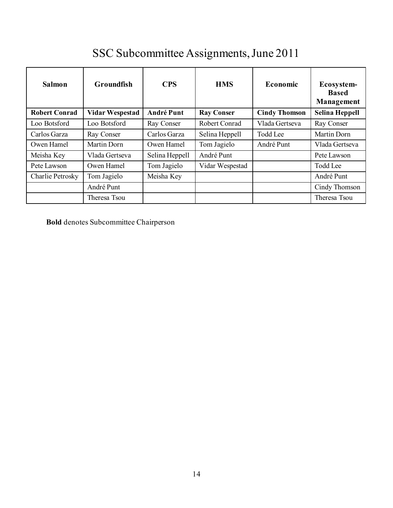# SSC Subcommittee Assignments, June 2011

| <b>Salmon</b>        | Groundfish             | <b>CPS</b>        | <b>HMS</b>        | <b>Economic</b>      | Ecosystem-<br><b>Based</b><br>Management |
|----------------------|------------------------|-------------------|-------------------|----------------------|------------------------------------------|
| <b>Robert Conrad</b> | <b>Vidar Wespestad</b> | <b>André Punt</b> | <b>Ray Conser</b> | <b>Cindy Thomson</b> | Selina Heppell                           |
| Loo Botsford         | Loo Botsford           | Ray Conser        | Robert Conrad     | Vlada Gertseva       | Ray Conser                               |
| Carlos Garza         | Ray Conser             | Carlos Garza      | Selina Heppell    | <b>Todd Lee</b>      | Martin Dorn                              |
| Owen Hamel           | Martin Dorn            | Owen Hamel        | Tom Jagielo       | André Punt           | Vlada Gertseva                           |
| Meisha Key           | Vlada Gertseva         | Selina Heppell    | André Punt        |                      | Pete Lawson                              |
| Pete Lawson          | Owen Hamel             | Tom Jagielo       | Vidar Wespestad   |                      | Todd Lee                                 |
| Charlie Petrosky     | Tom Jagielo            | Meisha Key        |                   |                      | André Punt                               |
|                      | André Punt             |                   |                   |                      | Cindy Thomson                            |
|                      | Theresa Tsou           |                   |                   |                      | Theresa Tsou                             |

**Bold** denotes Subcommittee Chairperson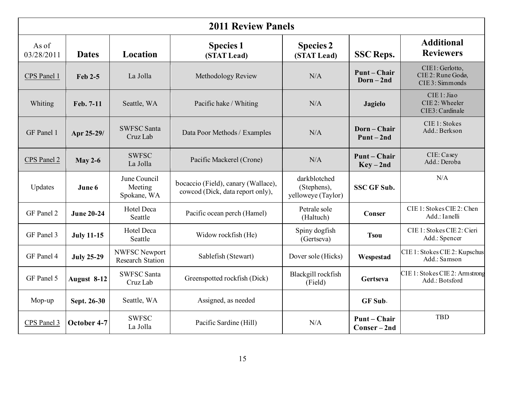| <b>2011 Review Panels</b> |                   |                                          |                                                                         |                                                   |                                 |                                                         |
|---------------------------|-------------------|------------------------------------------|-------------------------------------------------------------------------|---------------------------------------------------|---------------------------------|---------------------------------------------------------|
| As of<br>03/28/2011       | <b>Dates</b>      | <b>Location</b>                          | <b>Species 1</b><br>(STAT Lead)                                         | <b>Species 2</b><br>(STAT Lead)                   | <b>SSC Reps.</b>                | <b>Additional</b><br><b>Reviewers</b>                   |
| CPS Panel 1               | Feb 2-5           | La Jolla                                 | Methodology Review                                                      | N/A                                               | Punt-Chair<br>$Dorn-2nd$        | CIE1: Gerlotto,<br>CIE 2: Rune Godø,<br>CIE 3: Simmonds |
| Whiting                   | Feb. 7-11         | Seattle, WA                              | Pacific hake / Whiting                                                  | N/A                                               | <b>Jagielo</b>                  | CIE 1: Jiao<br>CIE 2: Wheeler<br>CIE3: Cardinale        |
| GF Panel 1                | Apr 25-29/        | <b>SWFSC Santa</b><br>Cruz Lab           | Data Poor Methods / Examples                                            | N/A                                               | Dorn-Chair<br>$Punt-2nd$        | CIE 1: Stokes<br>Add.: Berkson                          |
| CPS Panel 2               | <b>May 2-6</b>    | <b>SWFSC</b><br>La Jolla                 | Pacific Mackerel (Crone)                                                | N/A                                               | <b>Punt-Chair</b><br>$Key-2nd$  | CIE: Casey<br>Add.: Deroba                              |
| Updates                   | June 6            | June Council<br>Meeting<br>Spokane, WA   | bocaccio (Field), canary (Wallace),<br>cowcod (Dick, data report only), | darkblotched<br>(Stephens),<br>yelloweye (Taylor) | <b>SSC GF Sub.</b>              | N/A                                                     |
| GF Panel 2                | <b>June 20-24</b> | <b>Hotel Deca</b><br>Seattle             | Pacific ocean perch (Hamel)                                             | Petrale sole<br>(Haltuch)                         | Conser                          | CIE 1: Stokes CIE 2: Chen<br>Add.: Ianelli              |
| GF Panel 3                | <b>July 11-15</b> | <b>Hotel Deca</b><br>Seattle             | Widow rockfish (He)                                                     | Spiny dogfish<br>(Gertseva)                       | <b>Tsou</b>                     | CIE 1: Stokes CIE 2: Cieri<br>Add.: Spencer             |
| GF Panel 4                | <b>July 25-29</b> | NWFSC Newport<br><b>Research Station</b> | Sablefish (Stewart)                                                     | Dover sole (Hicks)                                | Wespestad                       | CIE 1: Stokes CIE 2: Kupschus<br>Add.: Samson           |
| GF Panel 5                | August 8-12       | <b>SWFSC Santa</b><br>Cruz Lab           | Greenspotted rockfish (Dick)                                            | Blackgill rockfish<br>(Field)                     | Gertseva                        | CIE 1: Stokes CIE 2: Armstrong<br>Add.: Botsford        |
| Mop-up                    | Sept. 26-30       | Seattle, WA                              | Assigned, as needed                                                     |                                                   | GF Sub.                         |                                                         |
| CPS Panel 3               | October 4-7       | <b>SWFSC</b><br>La Jolla                 | Pacific Sardine (Hill)                                                  | N/A                                               | <b>Punt-Chair</b><br>Conser-2nd | <b>TBD</b>                                              |